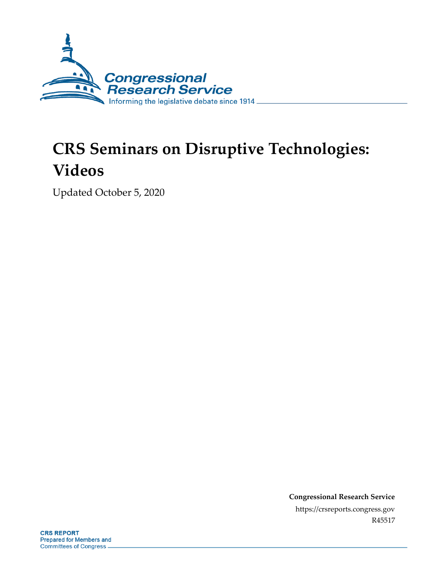

# **CRS Seminars on Disruptive Technologies: Videos**

Updated October 5, 2020

**Congressional Research Service** https://crsreports.congress.gov R45517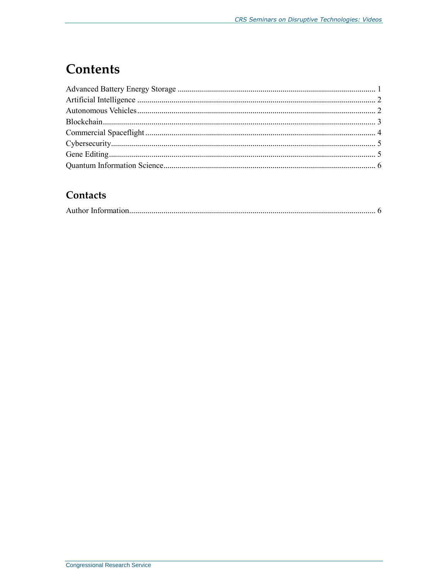### **Contents**

### Contacts

|--|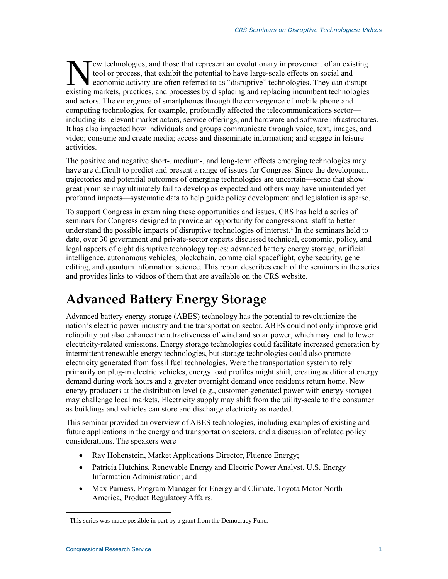Tew technologies, and those that represent an evolutionary improvement of an existing tool or process, that exhibit the potential to have large-scale effects on social and economic activity are often referred to as "disruptive" technologies. They can disrupt extechnologies, and those that represent an evolutionary improvement of an existing tool or process, that exhibit the potential to have large-scale effects on social and economic activity are often referred to as "disrupti and actors. The emergence of smartphones through the convergence of mobile phone and computing technologies, for example, profoundly affected the telecommunications sector including its relevant market actors, service offerings, and hardware and software infrastructures. It has also impacted how individuals and groups communicate through voice, text, images, and video; consume and create media; access and disseminate information; and engage in leisure activities.

The positive and negative short-, medium-, and long-term effects emerging technologies may have are difficult to predict and present a range of issues for Congress. Since the development trajectories and potential outcomes of emerging technologies are uncertain—some that show great promise may ultimately fail to develop as expected and others may have unintended yet profound impacts—systematic data to help guide policy development and legislation is sparse.

To support Congress in examining these opportunities and issues, CRS has held a series of seminars for Congress designed to provide an opportunity for congressional staff to better understand the possible impacts of disruptive technologies of interest. 1 In the seminars held to date, over 30 government and private-sector experts discussed technical, economic, policy, and legal aspects of eight disruptive technology topics: advanced battery energy storage, artificial intelligence, autonomous vehicles, blockchain, commercial spaceflight, cybersecurity, gene editing, and quantum information science. This report describes each of the seminars in the series and provides links to videos of them that are available on the CRS website.

## <span id="page-2-0"></span>**Advanced Battery Energy Storage**

Advanced battery energy storage (ABES) technology has the potential to revolutionize the nation's electric power industry and the transportation sector. ABES could not only improve grid reliability but also enhance the attractiveness of wind and solar power, which may lead to lower electricity-related emissions. Energy storage technologies could facilitate increased generation by intermittent renewable energy technologies, but storage technologies could also promote electricity generated from fossil fuel technologies. Were the transportation system to rely primarily on plug-in electric vehicles, energy load profiles might shift, creating additional energy demand during work hours and a greater overnight demand once residents return home. New energy producers at the distribution level (e.g., customer-generated power with energy storage) may challenge local markets. Electricity supply may shift from the utility-scale to the consumer as buildings and vehicles can store and discharge electricity as needed.

This seminar provided an overview of ABES technologies, including examples of existing and future applications in the energy and transportation sectors, and a discussion of related policy considerations. The speakers were

- Ray Hohenstein, Market Applications Director, Fluence Energy;
- Patricia Hutchins, Renewable Energy and Electric Power Analyst, U.S. Energy Information Administration; and
- Max Parness, Program Manager for Energy and Climate, Toyota Motor North America, Product Regulatory Affairs.

 $\overline{a}$ <sup>1</sup> This series was made possible in part by a grant from the Democracy Fund.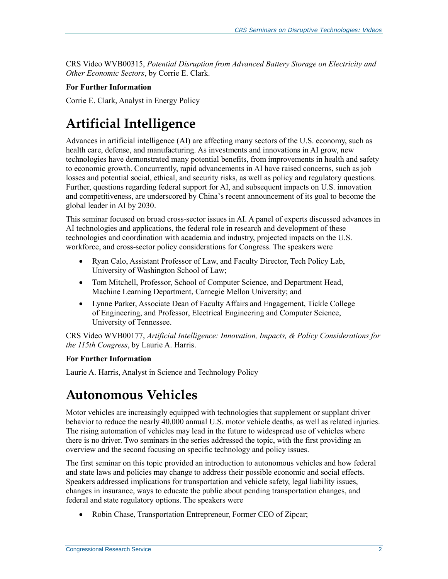CRS Video WVB00315, *Potential Disruption from Advanced Battery Storage on Electricity and Other Economic Sectors*, by Corrie E. Clark.

#### **For Further Information**

Corrie E. Clark, Analyst in Energy Policy

# <span id="page-3-0"></span>**Artificial Intelligence**

Advances in artificial intelligence (AI) are affecting many sectors of the U.S. economy, such as health care, defense, and manufacturing. As investments and innovations in AI grow, new technologies have demonstrated many potential benefits, from improvements in health and safety to economic growth. Concurrently, rapid advancements in AI have raised concerns, such as job losses and potential social, ethical, and security risks, as well as policy and regulatory questions. Further, questions regarding federal support for AI, and subsequent impacts on U.S. innovation and competitiveness, are underscored by China's recent announcement of its goal to become the global leader in AI by 2030.

This seminar focused on broad cross-sector issues in AI. A panel of experts discussed advances in AI technologies and applications, the federal role in research and development of these technologies and coordination with academia and industry, projected impacts on the U.S. workforce, and cross-sector policy considerations for Congress. The speakers were

- Ryan Calo, Assistant Professor of Law, and Faculty Director, Tech Policy Lab, University of Washington School of Law;
- Tom Mitchell, Professor, School of Computer Science, and Department Head, Machine Learning Department, Carnegie Mellon University; and
- Lynne Parker, Associate Dean of Faculty Affairs and Engagement, Tickle College of Engineering, and Professor, Electrical Engineering and Computer Science, University of Tennessee.

CRS Video WVB00177, *Artificial Intelligence: Innovation, Impacts, & Policy Considerations for the 115th Congress*, by Laurie A. Harris.

#### **For Further Information**

Laurie A. Harris, Analyst in Science and Technology Policy

### <span id="page-3-1"></span>**Autonomous Vehicles**

Motor vehicles are increasingly equipped with technologies that supplement or supplant driver behavior to reduce the nearly 40,000 annual U.S. motor vehicle deaths, as well as related injuries. The rising automation of vehicles may lead in the future to widespread use of vehicles where there is no driver. Two seminars in the series addressed the topic, with the first providing an overview and the second focusing on specific technology and policy issues.

The first seminar on this topic provided an introduction to autonomous vehicles and how federal and state laws and policies may change to address their possible economic and social effects. Speakers addressed implications for transportation and vehicle safety, legal liability issues, changes in insurance, ways to educate the public about pending transportation changes, and federal and state regulatory options. The speakers were

Robin Chase, Transportation Entrepreneur, Former CEO of Zipcar;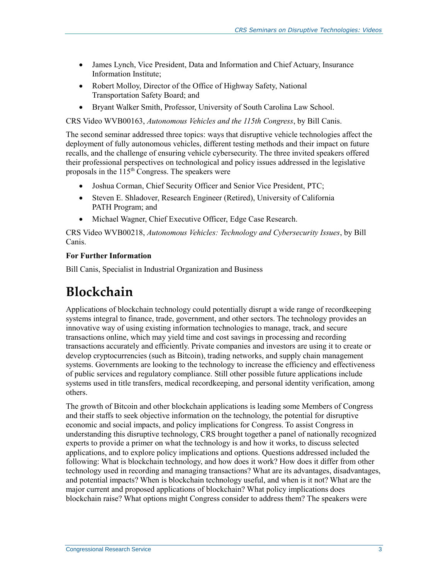- James Lynch, Vice President, Data and Information and Chief Actuary, Insurance Information Institute;
- Robert Molloy, Director of the Office of Highway Safety, National Transportation Safety Board; and
- Bryant Walker Smith, Professor, University of South Carolina Law School.

CRS Video WVB00163, *Autonomous Vehicles and the 115th Congress*, by Bill Canis.

The second seminar addressed three topics: ways that disruptive vehicle technologies affect the deployment of fully autonomous vehicles, different testing methods and their impact on future recalls, and the challenge of ensuring vehicle cybersecurity. The three invited speakers offered their professional perspectives on technological and policy issues addressed in the legislative proposals in the  $115<sup>th</sup>$  Congress. The speakers were

- Joshua Corman, Chief Security Officer and Senior Vice President, PTC;
- Steven E. Shladover, Research Engineer (Retired), University of California PATH Program; and
- Michael Wagner, Chief Executive Officer, Edge Case Research.

CRS Video WVB00218, *Autonomous Vehicles: Technology and Cybersecurity Issues*, by Bill Canis.

#### **For Further Information**

Bill Canis, Specialist in Industrial Organization and Business

### <span id="page-4-0"></span>**Blockchain**

Applications of blockchain technology could potentially disrupt a wide range of recordkeeping systems integral to finance, trade, government, and other sectors. The technology provides an innovative way of using existing information technologies to manage, track, and secure transactions online, which may yield time and cost savings in processing and recording transactions accurately and efficiently. Private companies and investors are using it to create or develop cryptocurrencies (such as Bitcoin), trading networks, and supply chain management systems. Governments are looking to the technology to increase the efficiency and effectiveness of public services and regulatory compliance. Still other possible future applications include systems used in title transfers, medical recordkeeping, and personal identity verification, among others.

The growth of Bitcoin and other blockchain applications is leading some Members of Congress and their staffs to seek objective information on the technology, the potential for disruptive economic and social impacts, and policy implications for Congress. To assist Congress in understanding this disruptive technology, CRS brought together a panel of nationally recognized experts to provide a primer on what the technology is and how it works, to discuss selected applications, and to explore policy implications and options. Questions addressed included the following: What is blockchain technology, and how does it work? How does it differ from other technology used in recording and managing transactions? What are its advantages, disadvantages, and potential impacts? When is blockchain technology useful, and when is it not? What are the major current and proposed applications of blockchain? What policy implications does blockchain raise? What options might Congress consider to address them? The speakers were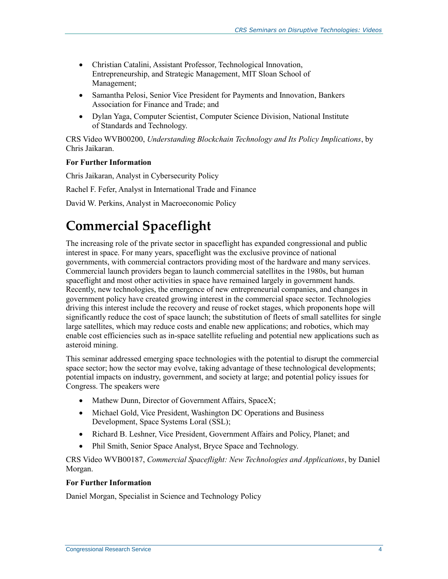- Christian Catalini, Assistant Professor, Technological Innovation, Entrepreneurship, and Strategic Management, MIT Sloan School of Management;
- Samantha Pelosi, Senior Vice President for Payments and Innovation, Bankers Association for Finance and Trade; and
- Dylan Yaga, Computer Scientist, Computer Science Division, National Institute of Standards and Technology.

CRS Video WVB00200, *Understanding Blockchain Technology and Its Policy Implications*, by Chris Jaikaran.

#### **For Further Information**

Chris Jaikaran, Analyst in Cybersecurity Policy Rachel F. Fefer, Analyst in International Trade and Finance David W. Perkins, Analyst in Macroeconomic Policy

## <span id="page-5-0"></span>**Commercial Spaceflight**

The increasing role of the private sector in spaceflight has expanded congressional and public interest in space. For many years, spaceflight was the exclusive province of national governments, with commercial contractors providing most of the hardware and many services. Commercial launch providers began to launch commercial satellites in the 1980s, but human spaceflight and most other activities in space have remained largely in government hands. Recently, new technologies, the emergence of new entrepreneurial companies, and changes in government policy have created growing interest in the commercial space sector. Technologies driving this interest include the recovery and reuse of rocket stages, which proponents hope will significantly reduce the cost of space launch; the substitution of fleets of small satellites for single large satellites, which may reduce costs and enable new applications; and robotics, which may enable cost efficiencies such as in-space satellite refueling and potential new applications such as asteroid mining.

This seminar addressed emerging space technologies with the potential to disrupt the commercial space sector; how the sector may evolve, taking advantage of these technological developments; potential impacts on industry, government, and society at large; and potential policy issues for Congress. The speakers were

- Mathew Dunn, Director of Government Affairs, SpaceX;
- Michael Gold, Vice President, Washington DC Operations and Business Development, Space Systems Loral (SSL);
- Richard B. Leshner, Vice President, Government Affairs and Policy, Planet; and
- Phil Smith, Senior Space Analyst, Bryce Space and Technology.

CRS Video WVB00187, *Commercial Spaceflight: New Technologies and Applications*, by Daniel Morgan.

#### **For Further Information**

Daniel Morgan, Specialist in Science and Technology Policy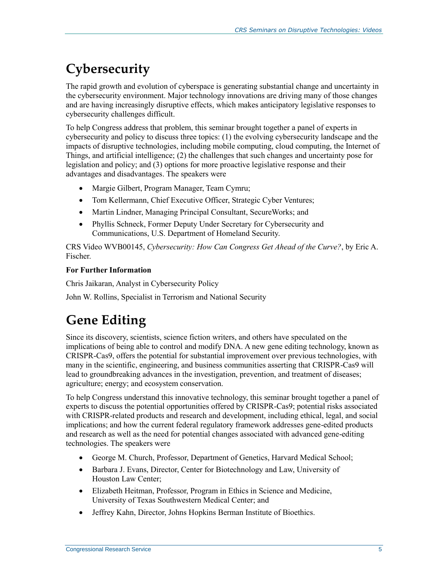# <span id="page-6-0"></span>**Cybersecurity**

The rapid growth and evolution of cyberspace is generating substantial change and uncertainty in the cybersecurity environment. Major technology innovations are driving many of those changes and are having increasingly disruptive effects, which makes anticipatory legislative responses to cybersecurity challenges difficult.

To help Congress address that problem, this seminar brought together a panel of experts in cybersecurity and policy to discuss three topics: (1) the evolving cybersecurity landscape and the impacts of disruptive technologies, including mobile computing, cloud computing, the Internet of Things, and artificial intelligence; (2) the challenges that such changes and uncertainty pose for legislation and policy; and (3) options for more proactive legislative response and their advantages and disadvantages. The speakers were

- Margie Gilbert, Program Manager, Team Cymru;
- Tom Kellermann, Chief Executive Officer, Strategic Cyber Ventures;
- Martin Lindner, Managing Principal Consultant, SecureWorks; and
- Phyllis Schneck, Former Deputy Under Secretary for Cybersecurity and Communications, U.S. Department of Homeland Security.

CRS Video WVB00145, *Cybersecurity: How Can Congress Get Ahead of the Curve?*, by Eric A. Fischer.

#### **For Further Information**

Chris Jaikaran, Analyst in Cybersecurity Policy

John W. Rollins, Specialist in Terrorism and National Security

## <span id="page-6-1"></span>**Gene Editing**

Since its discovery, scientists, science fiction writers, and others have speculated on the implications of being able to control and modify DNA. A new gene editing technology, known as CRISPR-Cas9, offers the potential for substantial improvement over previous technologies, with many in the scientific, engineering, and business communities asserting that CRISPR-Cas9 will lead to groundbreaking advances in the investigation, prevention, and treatment of diseases; agriculture; energy; and ecosystem conservation.

To help Congress understand this innovative technology, this seminar brought together a panel of experts to discuss the potential opportunities offered by CRISPR-Cas9; potential risks associated with CRISPR-related products and research and development, including ethical, legal, and social implications; and how the current federal regulatory framework addresses gene-edited products and research as well as the need for potential changes associated with advanced gene-editing technologies. The speakers were

- George M. Church, Professor, Department of Genetics, Harvard Medical School;
- Barbara J. Evans, Director, Center for Biotechnology and Law, University of Houston Law Center;
- Elizabeth Heitman, Professor, Program in Ethics in Science and Medicine, University of Texas Southwestern Medical Center; and
- Jeffrey Kahn, Director, Johns Hopkins Berman Institute of Bioethics.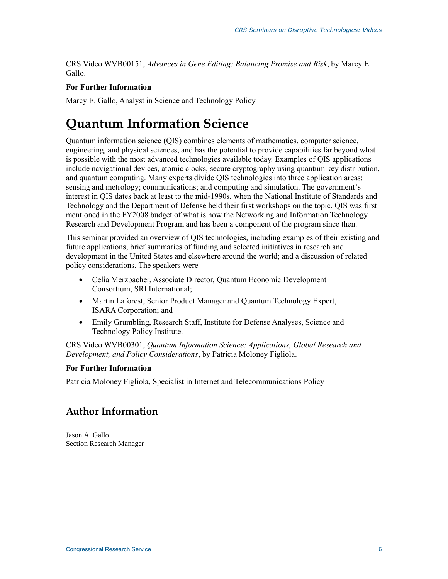<span id="page-7-1"></span>CRS Video WVB00151, *Advances in Gene Editing: Balancing Promise and Risk*, by Marcy E. Gallo.

#### **For Further Information**

Marcy E. Gallo, Analyst in Science and Technology Policy

### <span id="page-7-0"></span>**Quantum Information Science**

Quantum information science (QIS) combines elements of mathematics, computer science, engineering, and physical sciences, and has the potential to provide capabilities far beyond what is possible with the most advanced technologies available today. Examples of QIS applications include navigational devices, atomic clocks, secure cryptography using quantum key distribution, and quantum computing. Many experts divide QIS technologies into three application areas: sensing and metrology; communications; and computing and simulation. The government's interest in QIS dates back at least to the mid-1990s, when the National Institute of Standards and Technology and the Department of Defense held their first workshops on the topic. QIS was first mentioned in the FY2008 budget of what is now the Networking and Information Technology Research and Development Program and has been a component of the program since then.

This seminar provided an overview of QIS technologies, including examples of their existing and future applications; brief summaries of funding and selected initiatives in research and development in the United States and elsewhere around the world; and a discussion of related policy considerations. The speakers were

- Celia Merzbacher, Associate Director, Quantum Economic Development Consortium, SRI International;
- Martin Laforest, Senior Product Manager and Quantum Technology Expert, ISARA Corporation; and
- Emily Grumbling, Research Staff, Institute for Defense Analyses, Science and Technology Policy Institute.

CRS Video WVB00301, *Quantum Information Science: Applications, Global Research and Development, and Policy Considerations*, by Patricia Moloney Figliola.

#### **For Further Information**

Patricia Moloney Figliola, Specialist in Internet and Telecommunications Policy

### **Author Information**

Jason A. Gallo Section Research Manager